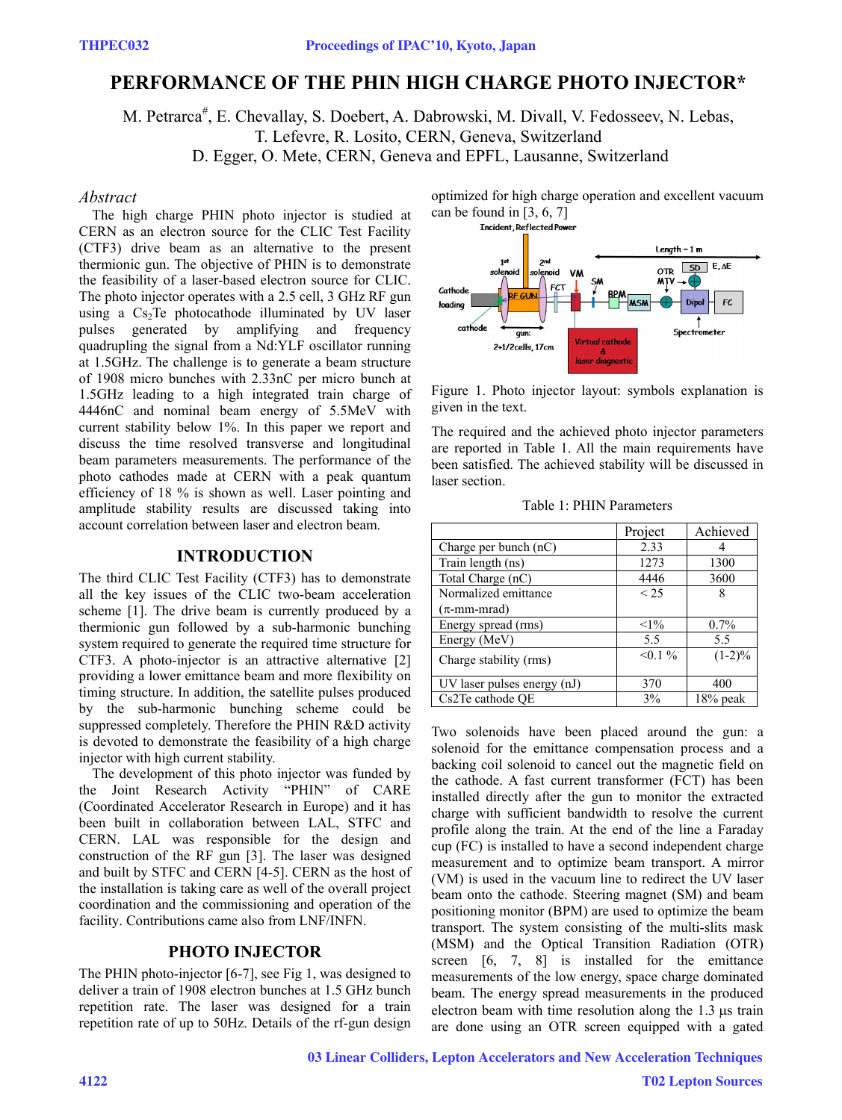# **PERFORMANCE OF THE PHIN HIGH CHARGE PHOTO INJECTOR\***

M. Petrarca<sup>#</sup>, E. Chevallay, S. Doebert, A. Dabrowski, M. Divall, V. Fedosseev, N. Lebas,

T. Lefevre, R. Losito, CERN, Geneva, Switzerland

D. Egger, O. Mete, CERN, Geneva and EPFL, Lausanne, Switzerland

#### *Abstract*

The high charge PHIN photo injector is studied at CERN as an electron source for the CLIC Test Facility (CTF3) drive beam as an alternative to the present thermionic gun. The objective of PHIN is to demonstrate the feasibility of a laser-based electron source for CLIC. The photo injector operates with a 2.5 cell, 3 GHz RF gun using a  $Cs<sub>2</sub>Te$  photocathode illuminated by UV laser pulses generated by amplifying and frequency quadrupling the signal from a Nd:YLF oscillator running at 1.5GHz. The challenge is to generate a beam structure of 1908 micro bunches with 2.33nC per micro bunch at 1.5GHz leading to a high integrated train charge of 4446nC and nominal beam energy of 5.5MeV with current stability below 1%. In this paper we report and discuss the time resolved transverse and longitudinal beam parameters measurements. The performance of the photo cathodes made at CERN with a peak quantum efficiency of 18 % is shown as well. Laser pointing and amplitude stability results are discussed taking into account correlation between laser and electron beam.

## **INTRODUCTION**

The third CLIC Test Facility (CTF3) has to demonstrate all the key issues of the CLIC two-beam acceleration scheme [1]. The drive beam is currently produced by a thermionic gun followed by a sub-harmonic bunching system required to generate the required time structure for CTF3. A photo-injector is an attractive alternative [2] providing a lower emittance beam and more flexibility on timing structure. In addition, the satellite pulses produced by the sub-harmonic bunching scheme could be suppressed completely. Therefore the PHIN R&D activity is devoted to demonstrate the feasibility of a high charge injector with high current stability.

The development of this photo injector was funded by the Joint Research Activity "PHIN" of CARE (Coordinated Accelerator Research in Europe) and it has been built in collaboration between LAL, STFC and CERN. LAL was responsible for the design and construction of the RF gun [3]. The laser was designed and built by STFC and CERN [4-5]. CERN as the host of the installation is taking care as well of the overall project coordination and the commissioning and operation of the facility. Contributions came also from LNF/INFN.

## **PHOTO INJECTOR**

The PHIN photo-injector [6-7], see Fig 1, was designed to deliver a train of 1908 electron bunches at 1.5 GHz bunch repetition rate. The laser was designed for a train repetition rate of up to 50Hz. Details of the rf-gun design optimized for high charge operation and excellent vacuum can be found in [3, 6, 7]<br>Incident, Reflected Power



Figure 1. Photo injector layout: symbols explanation is given in the text.

The required and the achieved photo injector parameters are reported in Table 1. All the main requirements have been satisfied. The achieved stability will be discussed in laser section.

Table 1: PHIN Parameters

|                             | Project    | Achieved    |
|-----------------------------|------------|-------------|
| Charge per bunch $(nC)$     | 2.33       |             |
| Train length (ns)           | 1273       | 1300        |
| Total Charge (nC)           | 4446       | 3600        |
| Normalized emittance        | < 2.5      | 8           |
| $(\pi$ -mm-mrad)            |            |             |
| Energy spread (rms)         | $<1\%$     | $0.7\%$     |
| Energy (MeV)                | 5.5        | 5.5         |
| Charge stability (rms)      | $< 0.1 \%$ | $(1-2)\%$   |
| UV laser pulses energy (nJ) | 370        | 400         |
| Cs2Te cathode QE            | 3%         | $18\%$ peak |

Two solenoids have been placed around the gun: a solenoid for the emittance compensation process and a backing coil solenoid to cancel out the magnetic field on the cathode. A fast current transformer (FCT) has been installed directly after the gun to monitor the extracted charge with sufficient bandwidth to resolve the current profile along the train. At the end of the line a Faraday cup (FC) is installed to have a second independent charge measurement and to optimize beam transport. A mirror (VM) is used in the vacuum line to redirect the UV laser beam onto the cathode. Steering magnet (SM) and beam positioning monitor (BPM) are used to optimize the beam transport. The system consisting of the multi-slits mask (MSM) and the Optical Transition Radiation (OTR) screen [6, 7, 8] is installed for the emittance measurements of the low energy, space charge dominated beam. The energy spread measurements in the produced electron beam with time resolution along the 1.3 μs train are done using an OTR screen equipped with a gated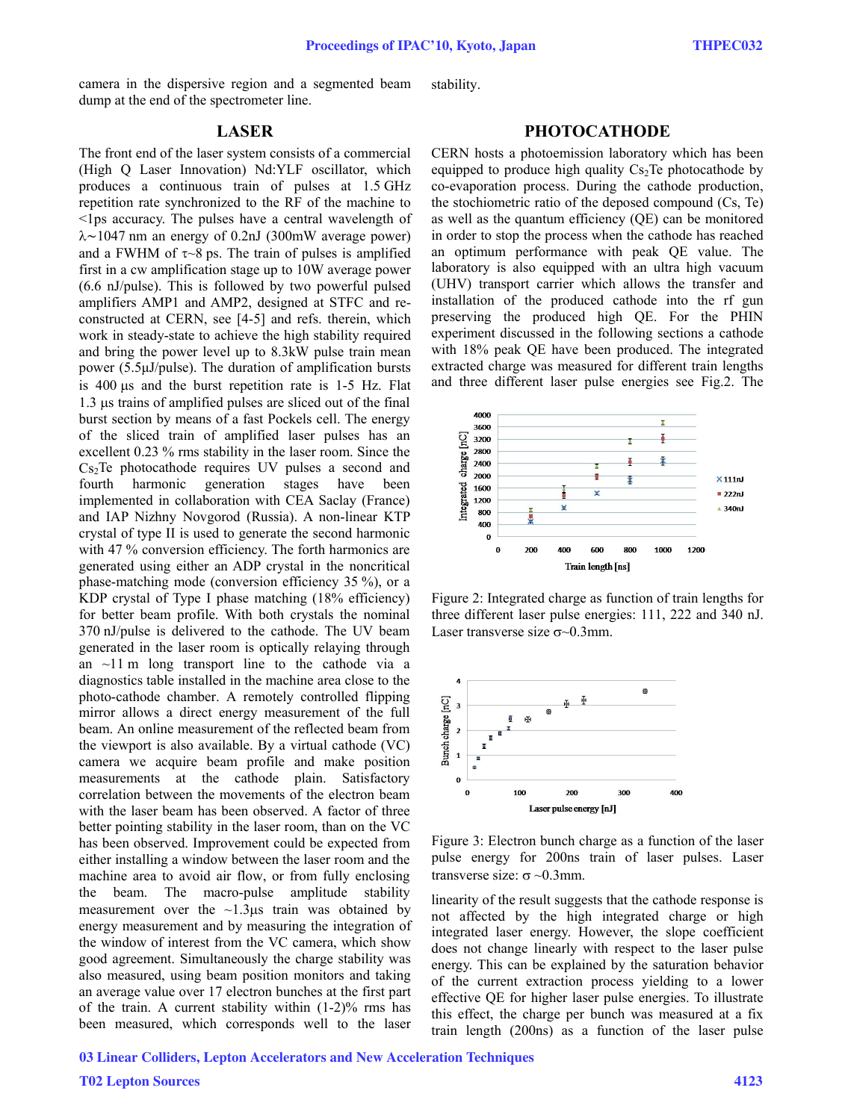camera in the dispersive region and a segmented beam dump at the end of the spectrometer line.

stability.

# **LASER**

The front end of the laser system consists of a commercial (High Q Laser Innovation) Nd:YLF oscillator, which produces a continuous train of pulses at 1.5 GHz repetition rate synchronized to the RF of the machine to <1ps accuracy. The pulses have a central wavelength of λ∼1047 nm an energy of 0.2nJ (300mW average power) and a FWHM of  $\tau$   $\sim$ 8 ps. The train of pulses is amplified first in a cw amplification stage up to 10W average power (6.6 nJ/pulse). This is followed by two powerful pulsed amplifiers AMP1 and AMP2, designed at STFC and reconstructed at CERN, see [4-5] and refs. therein, which work in steady-state to achieve the high stability required and bring the power level up to 8.3kW pulse train mean power (5.5μJ/pulse). The duration of amplification bursts is 400 μs and the burst repetition rate is 1-5 Hz. Flat 1.3 μs trains of amplified pulses are sliced out of the final burst section by means of a fast Pockels cell. The energy of the sliced train of amplified laser pulses has an excellent 0.23 % rms stability in the laser room. Since the  $Cs<sub>2</sub>Te$  photocathode requires UV pulses a second and fourth harmonic generation stages have been implemented in collaboration with CEA Saclay (France) and IAP Nizhny Novgorod (Russia). A non-linear KTP crystal of type II is used to generate the second harmonic with 47 % conversion efficiency. The forth harmonics are generated using either an ADP crystal in the noncritical phase-matching mode (conversion efficiency 35 %), or a KDP crystal of Type I phase matching (18% efficiency) for better beam profile. With both crystals the nominal 370 nJ/pulse is delivered to the cathode. The UV beam generated in the laser room is optically relaying through an  $\sim$ 11 m long transport line to the cathode via a diagnostics table installed in the machine area close to the photo-cathode chamber. A remotely controlled flipping mirror allows a direct energy measurement of the full beam. An online measurement of the reflected beam from the viewport is also available. By a virtual cathode (VC) camera we acquire beam profile and make position measurements at the cathode plain. Satisfactory correlation between the movements of the electron beam with the laser beam has been observed. A factor of three better pointing stability in the laser room, than on the VC has been observed. Improvement could be expected from either installing a window between the laser room and the machine area to avoid air flow, or from fully enclosing the beam. The macro-pulse amplitude stability measurement over the  $\sim$ 1.3μs train was obtained by energy measurement and by measuring the integration of the window of interest from the VC camera, which show good agreement. Simultaneously the charge stability was also measured, using beam position monitors and taking an average value over 17 electron bunches at the first part of the train. A current stability within  $(1-2)\%$  rms has been measured, which corresponds well to the laser

## **PHOTOCATHODE**

CERN hosts a photoemission laboratory which has been equipped to produce high quality  $Cs<sub>2</sub>Te$  photocathode by co-evaporation process. During the cathode production, the stochiometric ratio of the deposed compound (Cs, Te) as well as the quantum efficiency (QE) can be monitored in order to stop the process when the cathode has reached an optimum performance with peak QE value. The laboratory is also equipped with an ultra high vacuum (UHV) transport carrier which allows the transfer and installation of the produced cathode into the rf gun preserving the produced high QE. For the PHIN experiment discussed in the following sections a cathode with 18% peak QE have been produced. The integrated extracted charge was measured for different train lengths and three different laser pulse energies see Fig.2. The



Figure 2: Integrated charge as function of train lengths for three different laser pulse energies: 111, 222 and 340 nJ. Laser transverse size  $\sigma$  -0.3mm.



Figure 3: Electron bunch charge as a function of the laser pulse energy for 200ns train of laser pulses. Laser transverse size:  $\sigma \sim 0.3$ mm.

linearity of the result suggests that the cathode response is not affected by the high integrated charge or high integrated laser energy. However, the slope coefficient does not change linearly with respect to the laser pulse energy. This can be explained by the saturation behavior of the current extraction process yielding to a lower effective QE for higher laser pulse energies. To illustrate this effect, the charge per bunch was measured at a fix train length (200ns) as a function of the laser pulse